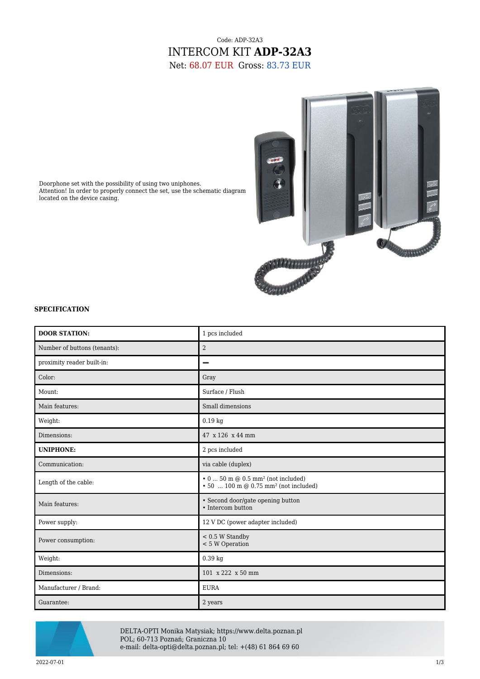## Code: ADP-32A3 INTERCOM KIT **ADP-32A3** Net: 68.07 EUR Gross: 83.73 EUR



Doorphone set with the possibility of using two uniphones. Attention! In order to properly connect the set, use the schematic diagram located on the device casing.

## **SPECIFICATION**

| <b>DOOR STATION:</b>         | 1 pcs included                                                                                                  |
|------------------------------|-----------------------------------------------------------------------------------------------------------------|
| Number of buttons (tenants): | $\overline{2}$                                                                                                  |
| proximity reader built-in:   | -                                                                                                               |
| Color:                       | Gray                                                                                                            |
| Mount:                       | Surface / Flush                                                                                                 |
| Main features:               | Small dimensions                                                                                                |
| Weight:                      | $0.19$ kg                                                                                                       |
| Dimensions:                  | 47 x 126 x 44 mm                                                                                                |
| <b>UNIPHONE:</b>             | 2 pcs included                                                                                                  |
| Communication:               | via cable (duplex)                                                                                              |
| Length of the cable:         | $\cdot$ 0  50 m @ 0.5 mm <sup>2</sup> (not included)<br>$\cdot$ 50  100 m @ 0.75 mm <sup>2</sup> (not included) |
| Main features:               | • Second door/gate opening button<br>• Intercom button                                                          |
| Power supply:                | 12 V DC (power adapter included)                                                                                |
| Power consumption:           | $< 0.5 W$ Standby<br>< 5 W Operation                                                                            |
| Weight:                      | 0.39 kg                                                                                                         |
| Dimensions:                  | 101 x 222 x 50 mm                                                                                               |
| Manufacturer / Brand:        | <b>EURA</b>                                                                                                     |
| Guarantee:                   | 2 years                                                                                                         |



DELTA-OPTI Monika Matysiak; https://www.delta.poznan.pl POL; 60-713 Poznań; Graniczna 10 e-mail: delta-opti@delta.poznan.pl; tel: +(48) 61 864 69 60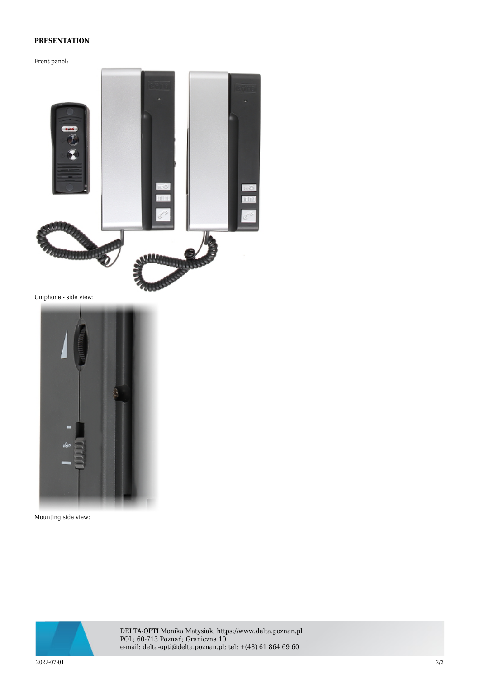## **PRESENTATION**

Front panel:



Uniphone - side view:



Mounting side view:



DELTA-OPTI Monika Matysiak; https://www.delta.poznan.pl POL; 60-713 Poznań; Graniczna 10 e-mail: delta-opti@delta.poznan.pl; tel: +(48) 61 864 69 60

2022-07-01 2/3